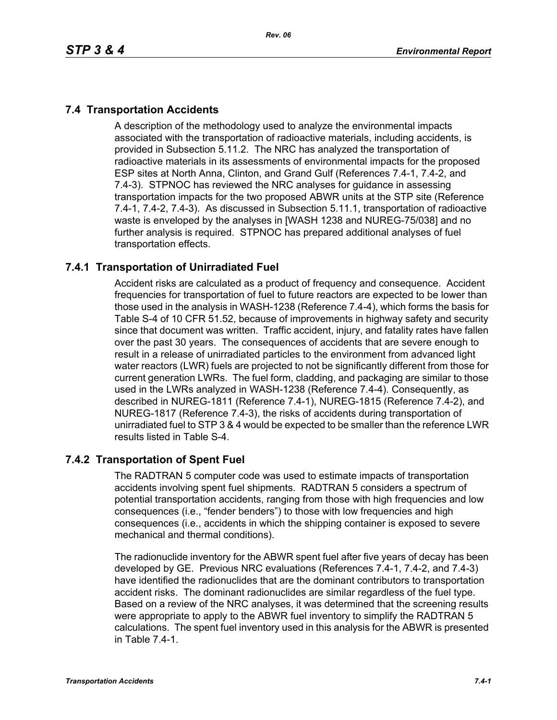# **7.4 Transportation Accidents**

A description of the methodology used to analyze the environmental impacts associated with the transportation of radioactive materials, including accidents, is provided in Subsection 5.11.2. The NRC has analyzed the transportation of radioactive materials in its assessments of environmental impacts for the proposed ESP sites at North Anna, Clinton, and Grand Gulf (References 7.4-1, 7.4-2, and 7.4-3). STPNOC has reviewed the NRC analyses for guidance in assessing transportation impacts for the two proposed ABWR units at the STP site (Reference 7.4-1, 7.4-2, 7.4-3). As discussed in Subsection 5.11.1, transportation of radioactive waste is enveloped by the analyses in [WASH 1238 and NUREG-75/038] and no further analysis is required. STPNOC has prepared additional analyses of fuel transportation effects.

## **7.4.1 Transportation of Unirradiated Fuel**

Accident risks are calculated as a product of frequency and consequence. Accident frequencies for transportation of fuel to future reactors are expected to be lower than those used in the analysis in WASH-1238 (Reference 7.4-4), which forms the basis for Table S-4 of 10 CFR 51.52, because of improvements in highway safety and security since that document was written. Traffic accident, injury, and fatality rates have fallen over the past 30 years. The consequences of accidents that are severe enough to result in a release of unirradiated particles to the environment from advanced light water reactors (LWR) fuels are projected to not be significantly different from those for current generation LWRs. The fuel form, cladding, and packaging are similar to those used in the LWRs analyzed in WASH-1238 (Reference 7.4-4). Consequently, as described in NUREG-1811 (Reference 7.4-1), NUREG-1815 (Reference 7.4-2), and NUREG-1817 (Reference 7.4-3), the risks of accidents during transportation of unirradiated fuel to STP 3 & 4 would be expected to be smaller than the reference LWR results listed in Table S-4.

## **7.4.2 Transportation of Spent Fuel**

The RADTRAN 5 computer code was used to estimate impacts of transportation accidents involving spent fuel shipments. RADTRAN 5 considers a spectrum of potential transportation accidents, ranging from those with high frequencies and low consequences (i.e., "fender benders") to those with low frequencies and high consequences (i.e., accidents in which the shipping container is exposed to severe mechanical and thermal conditions).

The radionuclide inventory for the ABWR spent fuel after five years of decay has been developed by GE. Previous NRC evaluations (References 7.4-1, 7.4-2, and 7.4-3) have identified the radionuclides that are the dominant contributors to transportation accident risks. The dominant radionuclides are similar regardless of the fuel type. Based on a review of the NRC analyses, it was determined that the screening results were appropriate to apply to the ABWR fuel inventory to simplify the RADTRAN 5 calculations. The spent fuel inventory used in this analysis for the ABWR is presented in Table 7.4-1.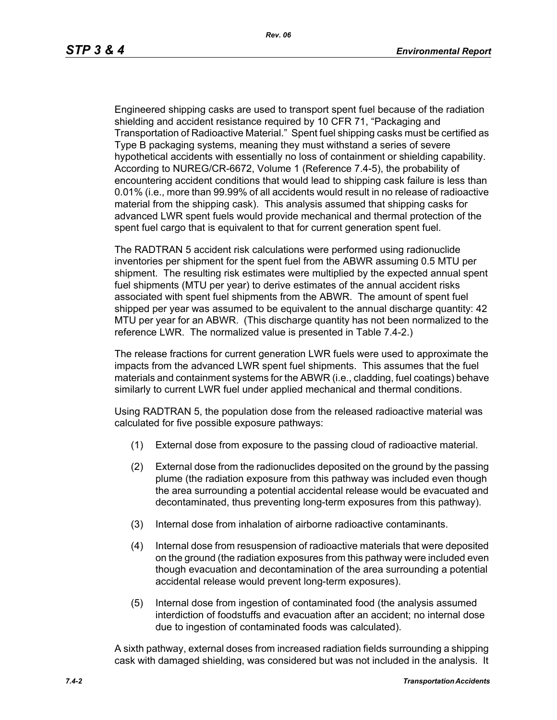Engineered shipping casks are used to transport spent fuel because of the radiation shielding and accident resistance required by 10 CFR 71, "Packaging and Transportation of Radioactive Material." Spent fuel shipping casks must be certified as Type B packaging systems, meaning they must withstand a series of severe hypothetical accidents with essentially no loss of containment or shielding capability. According to NUREG/CR-6672, Volume 1 (Reference 7.4-5), the probability of encountering accident conditions that would lead to shipping cask failure is less than 0.01% (i.e., more than 99.99% of all accidents would result in no release of radioactive material from the shipping cask). This analysis assumed that shipping casks for advanced LWR spent fuels would provide mechanical and thermal protection of the spent fuel cargo that is equivalent to that for current generation spent fuel.

The RADTRAN 5 accident risk calculations were performed using radionuclide inventories per shipment for the spent fuel from the ABWR assuming 0.5 MTU per shipment. The resulting risk estimates were multiplied by the expected annual spent fuel shipments (MTU per year) to derive estimates of the annual accident risks associated with spent fuel shipments from the ABWR. The amount of spent fuel shipped per year was assumed to be equivalent to the annual discharge quantity: 42 MTU per year for an ABWR. (This discharge quantity has not been normalized to the reference LWR. The normalized value is presented in Table 7.4-2.)

The release fractions for current generation LWR fuels were used to approximate the impacts from the advanced LWR spent fuel shipments. This assumes that the fuel materials and containment systems for the ABWR (i.e., cladding, fuel coatings) behave similarly to current LWR fuel under applied mechanical and thermal conditions.

Using RADTRAN 5, the population dose from the released radioactive material was calculated for five possible exposure pathways:

- (1) External dose from exposure to the passing cloud of radioactive material.
- (2) External dose from the radionuclides deposited on the ground by the passing plume (the radiation exposure from this pathway was included even though the area surrounding a potential accidental release would be evacuated and decontaminated, thus preventing long-term exposures from this pathway).
- (3) Internal dose from inhalation of airborne radioactive contaminants.
- (4) Internal dose from resuspension of radioactive materials that were deposited on the ground (the radiation exposures from this pathway were included even though evacuation and decontamination of the area surrounding a potential accidental release would prevent long-term exposures).
- (5) Internal dose from ingestion of contaminated food (the analysis assumed interdiction of foodstuffs and evacuation after an accident; no internal dose due to ingestion of contaminated foods was calculated).

A sixth pathway, external doses from increased radiation fields surrounding a shipping cask with damaged shielding, was considered but was not included in the analysis. It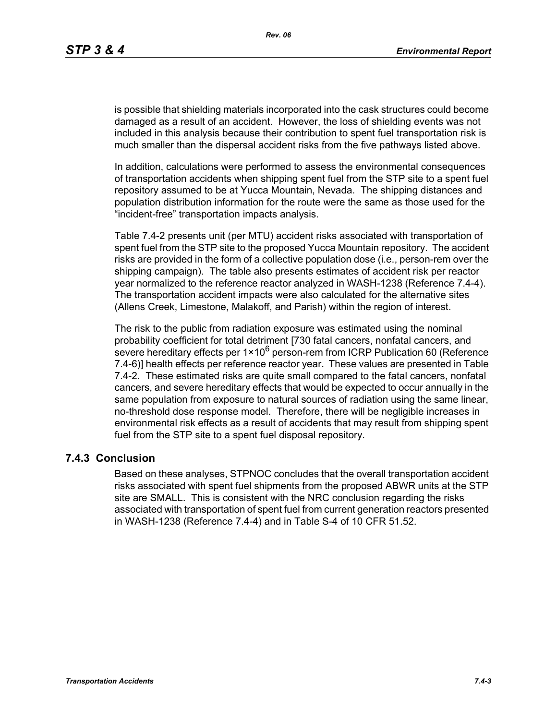is possible that shielding materials incorporated into the cask structures could become damaged as a result of an accident. However, the loss of shielding events was not included in this analysis because their contribution to spent fuel transportation risk is much smaller than the dispersal accident risks from the five pathways listed above.

In addition, calculations were performed to assess the environmental consequences of transportation accidents when shipping spent fuel from the STP site to a spent fuel repository assumed to be at Yucca Mountain, Nevada. The shipping distances and population distribution information for the route were the same as those used for the "incident-free" transportation impacts analysis.

Table 7.4-2 presents unit (per MTU) accident risks associated with transportation of spent fuel from the STP site to the proposed Yucca Mountain repository. The accident risks are provided in the form of a collective population dose (i.e., person-rem over the shipping campaign). The table also presents estimates of accident risk per reactor year normalized to the reference reactor analyzed in WASH-1238 (Reference 7.4-4). The transportation accident impacts were also calculated for the alternative sites (Allens Creek, Limestone, Malakoff, and Parish) within the region of interest.

The risk to the public from radiation exposure was estimated using the nominal probability coefficient for total detriment [730 fatal cancers, nonfatal cancers, and severe hereditary effects per  $1 \times 10^6$  person-rem from ICRP Publication 60 (Reference 7.4-6)] health effects per reference reactor year. These values are presented in Table 7.4-2. These estimated risks are quite small compared to the fatal cancers, nonfatal cancers, and severe hereditary effects that would be expected to occur annually in the same population from exposure to natural sources of radiation using the same linear, no-threshold dose response model. Therefore, there will be negligible increases in environmental risk effects as a result of accidents that may result from shipping spent fuel from the STP site to a spent fuel disposal repository.

#### **7.4.3 Conclusion**

Based on these analyses, STPNOC concludes that the overall transportation accident risks associated with spent fuel shipments from the proposed ABWR units at the STP site are SMALL. This is consistent with the NRC conclusion regarding the risks associated with transportation of spent fuel from current generation reactors presented in WASH-1238 (Reference 7.4-4) and in Table S-4 of 10 CFR 51.52.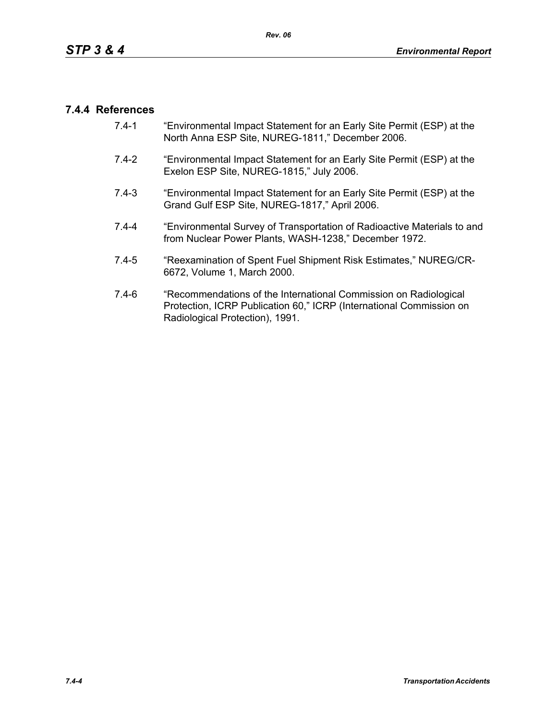### **7.4.4 References**

- 7.4-1 "Environmental Impact Statement for an Early Site Permit (ESP) at the North Anna ESP Site, NUREG-1811," December 2006.
- 7.4-2 "Environmental Impact Statement for an Early Site Permit (ESP) at the Exelon ESP Site, NUREG-1815," July 2006.
- 7.4-3 "Environmental Impact Statement for an Early Site Permit (ESP) at the Grand Gulf ESP Site, NUREG-1817," April 2006.
- 7.4-4 "Environmental Survey of Transportation of Radioactive Materials to and from Nuclear Power Plants, WASH-1238," December 1972.
- 7.4-5 "Reexamination of Spent Fuel Shipment Risk Estimates," NUREG/CR-6672, Volume 1, March 2000.
- 7.4-6 "Recommendations of the International Commission on Radiological Protection, ICRP Publication 60," ICRP (International Commission on Radiological Protection), 1991.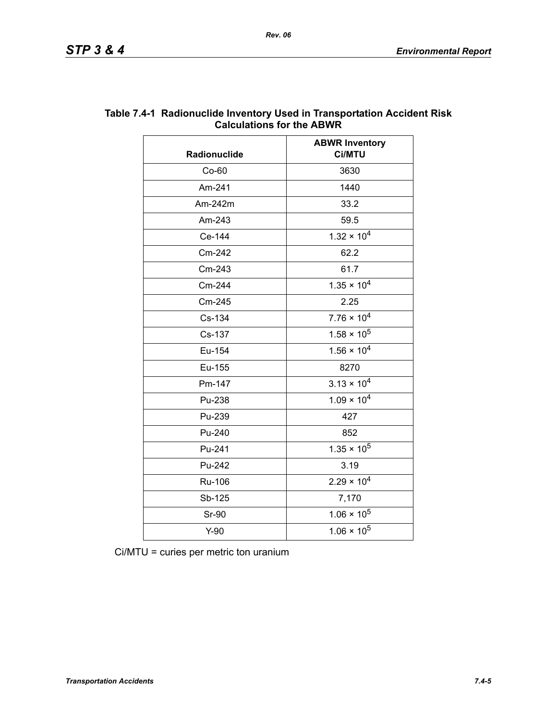| Radionuclide | <b>ABWR Inventory</b><br>Ci/MTU |  |
|--------------|---------------------------------|--|
| $Co-60$      | 3630                            |  |
| Am-241       | 1440                            |  |
| Am-242m      | 33.2                            |  |
| Am-243       | 59.5                            |  |
| Ce-144       | $1.32 \times 10^{4}$            |  |
| Cm-242       | 62.2                            |  |
| Cm-243       | 61.7                            |  |
| Cm-244       | $1.35 \times 10^{4}$            |  |
| Cm-245       | 2.25                            |  |
| Cs-134       | $7.76 \times 10^4$              |  |
| Cs-137       | $1.58 \times 10^5$              |  |
| Eu-154       | $1.56 \times 10^{4}$            |  |
| Eu-155       | 8270                            |  |
| Pm-147       | $3.13 \times 10^{4}$            |  |
| Pu-238       | $1.09 \times 10^{4}$            |  |
| Pu-239       | 427                             |  |
| Pu-240       | 852                             |  |
| Pu-241       | $1.35 \times 10^5$              |  |
| Pu-242       | 3.19                            |  |
| Ru-106       | $2.29 \times 10^{4}$            |  |
| Sb-125       | 7,170                           |  |
| <b>Sr-90</b> | $1.06 \times 10^5$              |  |
| $Y-90$       | $1.06 \times 10^5$              |  |

### **Table 7.4-1 Radionuclide Inventory Used in Transportation Accident Risk Calculations for the ABWR**

Ci/MTU = curies per metric ton uranium